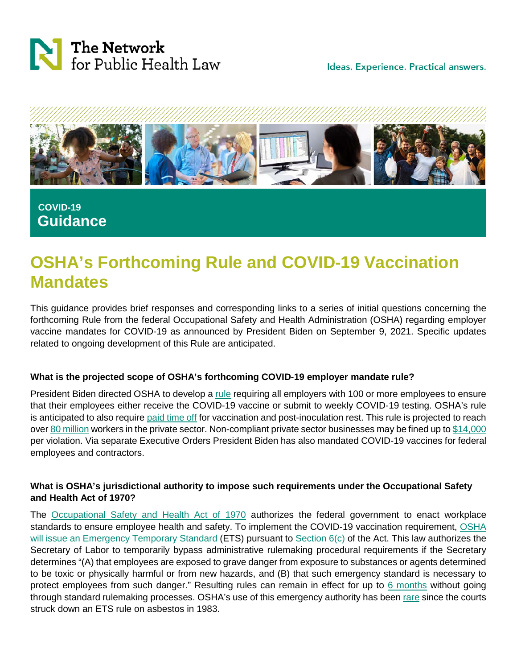



 **COVID-19 Guidance**

# **OSHA's Forthcoming Rule and COVID-19 Vaccination Mandates**

This guidance provides brief responses and corresponding links to a series of initial questions concerning the forthcoming Rule from the federal Occupational Safety and Health Administration (OSHA) regarding employer vaccine mandates for COVID-19 as announced by President Biden on September 9, 2021. Specific updates related to ongoing development of this Rule are anticipated.

### **What is the projected scope of OSHA's forthcoming COVID-19 employer mandate rule?**

President Biden directed OSHA to develop a [rule](https://www.whitehouse.gov/covidplan/) requiring all employers with 100 or more employees to ensure that their employees either receive the COVID-19 vaccine or submit to weekly COVID-19 testing. OSHA's rule is anticipated to also require [paid time off](https://www.whitehouse.gov/covidplan/) for vaccination and post-inoculation rest. This rule is projected to reach ove[r 80 million](https://www.whitehouse.gov/covidplan/) workers in the private sector. Non-compliant private sector businesses may be fined up to [\\$14,000](https://apnews.com/article/joe-biden-business-health-coronavirus-pandemic-executive-branch-18fb12993f05be13bf760946a6fb89be) per violation. Via separate Executive Orders President Biden has also mandated COVID-19 vaccines for federal employees and contractors.

# **What is OSHA's jurisdictional authority to impose such requirements under the Occupational Safety and Health Act of 1970?**

The [Occupational Safety and Health Act of 1970](https://www.osha.gov/laws-regs/oshact/toc) authorizes the federal government to enact workplace standards to ensure employee health and safety. To implement the COVID-19 vaccination requirement, [OSHA](https://www.whitehouse.gov/covidplan/)  [will issue an Emergency Temporary Standard](https://www.whitehouse.gov/covidplan/) (ETS) pursuant to [Section 6\(c\)](https://www.osha.gov/laws-regs/oshact/section_6) of the Act. This law authorizes the Secretary of Labor to temporarily bypass administrative rulemaking procedural requirements if the Secretary determines "(A) that employees are exposed to grave danger from exposure to substances or agents determined to be toxic or physically harmful or from new hazards, and (B) that such emergency standard is necessary to protect employees from such danger." Resulting rules can remain in effect for up to [6 months](https://www.osha.gov/laws-regs/oshact/section_6) without going through standard rulemaking processes. OSHA's use of this emergency authority has been [rare](https://crsreports.congress.gov/product/pdf/R/R46288) since the courts struck down an ETS rule on asbestos in 1983.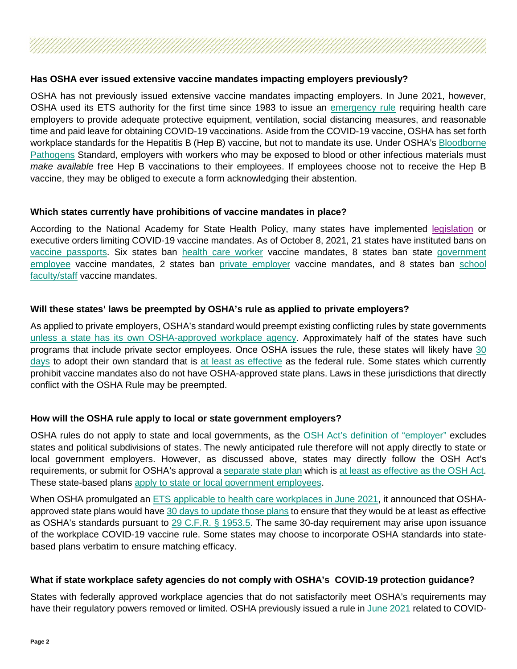# **Has OSHA ever issued extensive vaccine mandates impacting employers previously?**

OSHA has not previously issued extensive vaccine mandates impacting employers. In June 2021, however, OSHA used its ETS authority for the first time since 1983 to issue an [emergency rule](https://www.osha.gov/laws-regs/federalregister/2021-06-21) requiring health care employers to provide adequate protective equipment, ventilation, social distancing measures, and reasonable time and paid leave for obtaining COVID-19 vaccinations. Aside from the COVID-19 vaccine, OSHA has set forth workplace standards for the Hepatitis B (Hep B) vaccine, but not to mandate its use. Under OSHA's [Bloodborne](https://www.osha.gov/laws-regs/regulations/standardnumber/1910/1910.1030)  [Pathogens](https://www.osha.gov/laws-regs/regulations/standardnumber/1910/1910.1030) Standard, employers with workers who may be exposed to blood or other infectious materials must *make available* free Hep B vaccinations to their employees. If employees choose not to receive the Hep B vaccine, they may be obliged to execute a form acknowledging their abstention.

### **Which states currently have prohibitions of vaccine mandates in place?**

According to the National Academy for State Health Policy, many states have implemented [legislation](https://www.nashp.org/state-lawmakers-submit-bills-to-ban-employer-vaccine-mandates/) or executive orders limiting COVID-19 vaccine mandates. As of October 8, 2021, 21 states have instituted bans on [vaccine passports.](https://www.nashp.org/state-lawmakers-submit-bills-to-ban-employer-vaccine-mandates/) Six states ban [health care worker](https://www.nashp.org/state-lawmakers-submit-bills-to-ban-employer-vaccine-mandates/) vaccine mandates, 8 states ban state [government](https://www.nashp.org/state-lawmakers-submit-bills-to-ban-employer-vaccine-mandates/)  [employee](https://www.nashp.org/state-lawmakers-submit-bills-to-ban-employer-vaccine-mandates/) vaccine mandates, 2 states ban [private employer](https://www.nashp.org/state-lawmakers-submit-bills-to-ban-employer-vaccine-mandates/) vaccine mandates, and 8 states ban [school](https://www.nashp.org/state-lawmakers-submit-bills-to-ban-employer-vaccine-mandates/)  [faculty/staff](https://www.nashp.org/state-lawmakers-submit-bills-to-ban-employer-vaccine-mandates/) vaccine mandates.

# **Will these states' laws be preempted by OSHA's rule as applied to private employers?**

As applied to private employers, OSHA's standard would preempt existing conflicting rules by state governments [unless a state has its own OSHA-approved workplace agency.](https://www.osha.gov/stateplans) Approximately half of the states have such programs that include private sector employees. Once OSHA issues the rule, these states will likely have [30](https://www.osha.gov/sites/default/files/enforcement/directives/CSP_01-00-005.pdf)  [days](https://www.osha.gov/sites/default/files/enforcement/directives/CSP_01-00-005.pdf) to adopt their own standard that is [at least as effective](https://www.osha.gov/stateplans/faqs) as the federal rule. Some states which currently prohibit vaccine mandates also do not have OSHA-approved state plans. Laws in these jurisdictions that directly conflict with the OSHA Rule may be preempted.

### **How will the OSHA rule apply to local or state government employers?**

OSHA rules do not apply to state and local governments, as the [OSH Act's definition of "employer"](https://www.osha.gov/laws-regs/oshact/section_3) excludes states and political subdivisions of states. The newly anticipated rule therefore will not apply directly to state or local government employers. However, as discussed above, states may directly follow the OSH Act's requirements, or submit for OSHA's approval a [separate state plan](https://www.osha.gov/stateplans/) which is [at least as effective as the OSH Act.](https://www.osha.gov/laws-regs/oshact/section_18) These state-based plans [apply to state or local government employees.](https://www.osha.gov/stateplans/)

When OSHA promulgated an **ETS** [applicable to health care workplaces in June 2021,](https://www.osha.gov/coronavirus/ets) it announced that OSHA-approved state plans would have [30 days to update those plans](https://www.osha.gov/coronavirus/ets/faqs#:%7E:text=Adoption%20of%20the%20ETS%20by,duration%20of%20the%20Federal%20ETS.) to ensure that they would be at least as effective as OSHA's standards pursuant to [29 C.F.R. §](https://www.law.cornell.edu/cfr/text/29/1953.5) 1953.5. The same 30-day requirement may arise upon issuance of the workplace COVID-19 vaccine rule. Some states may choose to incorporate OSHA standards into statebased plans verbatim to ensure matching efficacy.

### **What if state workplace safety agencies do not comply with OSHA's COVID-19 protection guidance?**

States with federally approved workplace agencies that do not satisfactorily meet OSHA's requirements may have their regulatory powers removed or limited. OSHA previously issued a rule in [June 2021](https://www.nytimes.com/2021/06/10/business/economy/osha-covid-rule.html) related to COVID-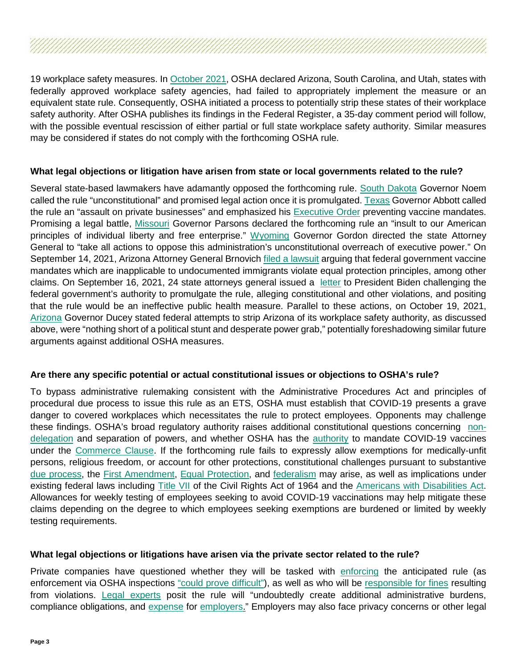19 workplace safety measures. In [October 2021,](https://www.nytimes.com/2021/10/19/business/economy/osha-covid-workplace-safety-states.html) OSHA declared Arizona, South Carolina, and Utah, states with federally approved workplace safety agencies, had failed to appropriately implement the measure or an equivalent state rule. Consequently, OSHA initiated a process to potentially strip these states of their workplace safety authority. After OSHA publishes its findings in the Federal Register, a 35-day comment period will follow, with the possible eventual rescission of either partial or full state workplace safety authority. Similar measures may be considered if states do not comply with the forthcoming OSHA rule.

#### **What legal objections or litigation have arisen from state or local governments related to the rule?**

Several state-based lawmakers have adamantly opposed the forthcoming rule. [South Dakota](https://twitter.com/KristiNoem/status/1436064909654167558?ref_src=twsrc%5Etfw%7Ctwcamp%5Etweetembed%7Ctwterm%5E1436064909654167558%7Ctwgr%5E%7Ctwcon%5Es1_&ref_url=https%3A%2F%2Fwww.foxnews.com%2Fpolitics%2Frepublicans-respond-to-vaccine-mandates-issued-by-biden-absolutely-unconstitutional) Governor Noem called the rule "unconstitutional" and promised legal action once it is promulgated[. Texas](https://twitter.com/GregAbbott_TX/status/1436104824660049921) Governor Abbott called the rule an "assault on private businesses" and emphasized his [Executive Order](https://gov.texas.gov/uploads/files/press/EO-GA-39_prohibiting_vaccine_mandates_and_vaccine_passports_IMAGE_08-25-2021.pdf) preventing vaccine mandates. Promising a legal battle, [Missouri](https://governor.mo.gov/press-releases/archive/governor-parson-condemns-biden-administrations-vaccine-mandate-vows-legal) Governor Parsons declared the forthcoming rule an "insult to our American principles of individual liberty and free enterprise." [Wyoming](https://twitter.com/governorgordon/status/1436092156163223554) Governor Gordon directed the state Attorney General to "take all actions to oppose this administration's unconstitutional overreach of executive power." On September 14, 2021, Arizona Attorney General Brnovich [filed a lawsuit](https://www.azag.gov/sites/default/files/docs/press-releases/2021/complaints/Vaccine_Equal_Protection_Complaint_FINAL.pdf) arguing that federal government vaccine mandates which are inapplicable to undocumented immigrants violate equal protection principles, among other claims. On September 16, 2021, 24 state attorneys general issued a [letter](https://ago.wv.gov/Documents/AGs) to President Biden challenging the federal government's authority to promulgate the rule, alleging constitutional and other violations, and positing that the rule would be an ineffective public health measure. Parallel to these actions, on October 19, 2021, [Arizona](https://azgovernor.gov/governor/news/2021/10/governor-ducey-statement-osha-overreach) Governor Ducey stated federal attempts to strip Arizona of its workplace safety authority, as discussed above, were "nothing short of a political stunt and desperate power grab," potentially foreshadowing similar future arguments against additional OSHA measures.

### **Are there any specific potential or actual constitutional issues or objections to OSHA's rule?**

To bypass administrative rulemaking consistent with the Administrative Procedures Act and principles of procedural due process to issue this rule as an ETS, OSHA must establish that COVID-19 presents a grave danger to covered workplaces which necessitates the rule to protect employees. Opponents may challenge these findings. OSHA's broad regulatory authority raises additional constitutional questions concerning [non](https://chicagounbound.uchicago.edu/cgi/viewcontent.cgi?article=1288&context=law_and_economics)[delegation](https://chicagounbound.uchicago.edu/cgi/viewcontent.cgi?article=1288&context=law_and_economics) and separation of powers, and whether OSHA has the [authority](https://www.usatoday.com/story/news/politics/2021/09/10/bidens-covid-vaccine-mandate-law-enforceable/8273693002/) to mandate COVID-19 vaccines under the [Commerce Clause.](https://www.law.cornell.edu/wex/commerce_clause) If the forthcoming rule fails to expressly allow exemptions for medically-unfit persons, religious freedom, or account for other protections, constitutional challenges pursuant to substantive [due process,](https://www.law.cornell.edu/constitution/amendmentxiv) the [First Amendment,](https://www.law.cornell.edu/constitution/first_amendment) Equal Protection, and [federalism](https://www.law.cornell.edu/constitution/tenth_amendment) may arise, as well as implications under existing federal laws including [Title VII](https://www.dol.gov/agencies/oasam/centers-offices/civil-rights-center/statutes/title-vii-civil-rights-act-of-1964) of the Civil Rights Act of 1964 and the [Americans with Disabilities Act.](https://www.dol.gov/general/topic/disability/ada) Allowances for weekly testing of employees seeking to avoid COVID-19 vaccinations may help mitigate these claims depending on the degree to which employees seeking exemptions are burdened or limited by weekly testing requirements.

### **What legal objections or litigations have arisen via the private sector related to the rule?**

Private companies have questioned whether they will be tasked with [enforcing](https://www.nytimes.com/2021/09/13/business/biden-vaccine-mandate-questions.html) the anticipated rule (as enforcement via OSHA inspections ["could prove difficult"\)](https://www.washingtonpost.com/business/2021/09/10/osha-vaccine-mandate-companies-biden/), as well as who will be [responsible for fines](https://www.jdsupra.com/legalnews/president-biden-mandates-covid-1066264/?) resulting from violations. [Legal experts](https://www.jdsupra.com/legalnews/president-biden-mandates-covid-1066264/?) posit the rule will "undoubtedly create additional administrative burdens, compliance obligations, and [expense](https://www.washingtonpost.com/business/2021/09/10/osha-vaccine-mandate-companies-biden/) for [employers.](https://www.jdsupra.com/legalnews/president-biden-issues-expansive-plan-4252603/)" Employers may also face privacy concerns or other legal